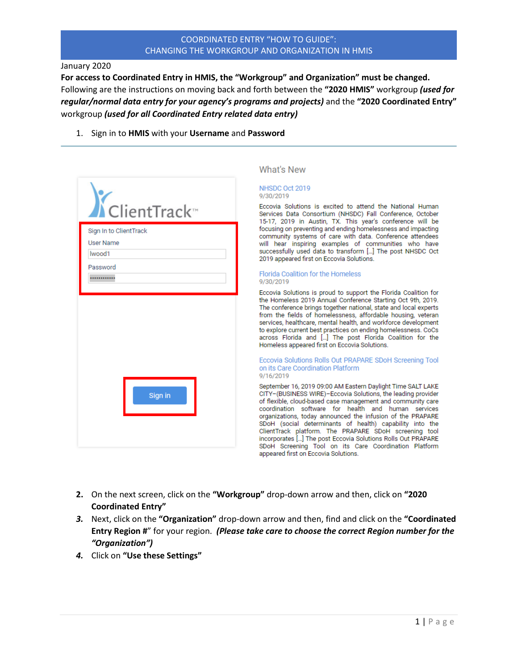### January 2020

**For access to Coordinated Entry in HMIS, the "Workgroup" and Organization" must be changed.** Following are the instructions on moving back and forth between the **"2020 HMIS"** workgroup *(used for regular/normal data entry for your agency's programs and projects)* and the **"2020 Coordinated Entry"** workgroup *(used for all Coordinated Entry related data entry)*

1. Sign in to **HMIS** with your **Username** and **Password**

| ClientTrack<br>Sign In to ClientTrack<br><b>User Name</b><br>Iwood1 |         |  |
|---------------------------------------------------------------------|---------|--|
|                                                                     |         |  |
|                                                                     |         |  |
| Password                                                            |         |  |
|                                                                     |         |  |
|                                                                     | Sign in |  |

## What's New

#### NHSDC Oct 2019 9/30/2019

Eccovia Solutions is excited to attend the National Human Services Data Consortium (NHSDC) Fall Conference, October 15-17, 2019 in Austin, TX. This year's conference will be focusing on preventing and ending homelessness and impacting community systems of care with data. Conference attendees will hear inspiring examples of communities who have successfully used data to transform [...] The post NHSDC Oct 2019 appeared first on Eccovia Solutions.

#### Florida Coalition for the Homeless 9/30/2019

Eccovia Solutions is proud to support the Florida Coalition for the Homeless 2019 Annual Conference Starting Oct 9th, 2019. The conference brings together national, state and local experts from the fields of homelessness, affordable housing, veteran services, healthcare, mental health, and workforce development to explore current best practices on ending homelessness. CoCs across Florida and [...] The post Florida Coalition for the Homeless appeared first on Eccovia Solutions.

#### Eccovia Solutions Rolls Out PRAPARE SDoH Screening Tool on its Care Coordination Platform 9/16/2019

September 16, 2019 09:00 AM Eastern Daylight Time SALT LAKE CITY-(BUSINESS WIRE)-Eccovia Solutions, the leading provider of flexible, cloud-based case management and community care coordination software for health and human services organizations, today announced the infusion of the PRAPARE SDoH (social determinants of health) capability into the ClientTrack platform. The PRAPARE SDoH screening tool incorporates [...] The post Eccovia Solutions Rolls Out PRAPARE SDoH Screening Tool on its Care Coordination Platform appeared first on Eccovia Solutions.

- **2.** On the next screen, click on the **"Workgroup"** drop-down arrow and then, click on **"2020 Coordinated Entry"**
- *3.* Next, click on the **"Organization"** drop-down arrow and then, find and click on the **"Coordinated Entry Region #**" for your region. *(Please take care to choose the correct Region number for the "Organization")*
- *4.* Click on **"Use these Settings"**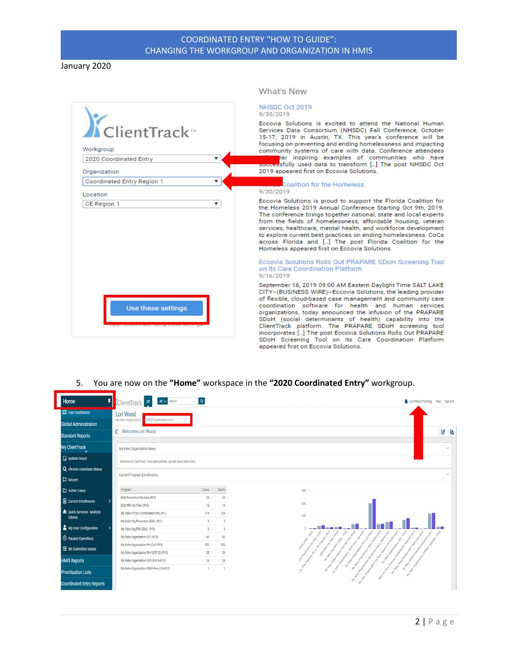January 2020

|                                        | What's New                                                                                                                                                                                                                                                                                                                                                                                                                                                                                                                                                                                            |
|----------------------------------------|-------------------------------------------------------------------------------------------------------------------------------------------------------------------------------------------------------------------------------------------------------------------------------------------------------------------------------------------------------------------------------------------------------------------------------------------------------------------------------------------------------------------------------------------------------------------------------------------------------|
|                                        | NHSDC Oct 2019<br>9/30/2019                                                                                                                                                                                                                                                                                                                                                                                                                                                                                                                                                                           |
| KclientTrack<br>Workgroup              | Eccovia Solutions is excited to attend the National Human<br>Services Data Consortium (NHSDC) Fall Conference, October<br>15-17, 2019 in Austin, TX. This year's conference will be<br>focusing on preventing and ending homelessness and impacting<br>community systems of care with data. Conference attendees                                                                                                                                                                                                                                                                                      |
| 2020 Coordinated Entry<br>Organization | ear inspiring examples of communities who have<br>successfully used data to transform [] The post NHSDC Oct<br>2019 appeared first on Eccovia Solutions.                                                                                                                                                                                                                                                                                                                                                                                                                                              |
| Coordinated Entry Region 1             | Coalition for the Homeless                                                                                                                                                                                                                                                                                                                                                                                                                                                                                                                                                                            |
| Location                               | 9/30/2019                                                                                                                                                                                                                                                                                                                                                                                                                                                                                                                                                                                             |
| CE Region 1<br>v                       | Eccovia Solutions is proud to support the Florida Coalition for<br>the Homeless 2019 Annual Conference Starting Oct 9th, 2019.<br>The conference brings together national, state and local experts<br>from the fields of homelessness, affordable housing, veteran<br>services, healthcare, mental health, and workforce development<br>to explore current best practices on ending homelessness. CoCs<br>across Florida and [] The post Florida Coalition for the<br>Homeless appeared first on Eccovia Solutions.                                                                                   |
|                                        | Eccovia Solutions Rolls Out PRAPARE SDoH Screening Tool<br>on its Care Coordination Platform<br>9/16/2019                                                                                                                                                                                                                                                                                                                                                                                                                                                                                             |
| Use these settings                     | September 16, 2019 09:00 AM Eastern Daylight Time SALT LAKE<br>CITY-(BUSINESS WIRE)-Eccovia Solutions, the leading provider<br>of flexible, cloud-based case management and community care<br>coordination software for health and human services<br>organizations, today announced the infusion of the PRAPARE<br>SDoH (social determinants of health) capability into the<br>ClientTrack platform. The PRAPARE SDoH screening tool<br>incorporates [] The post Eccovia Solutions Rolls Out PRAPARE<br>SDoH Screening Tool on its Care Coordination Platform<br>appeared first on Eccovia Solutions. |

# 5. You are now on the **"Home"** workspace in the **"2020 Coordinated Entry"** workgroup.

| Ŧ<br>Home                        | All v Search<br>ClientTrack <sup>-</sup>                                   | $\alpha$                |                         | Lori Wood (Training)   Help   Sign Out                                                                                                                                                                                                                                                                                                                                             |    |
|----------------------------------|----------------------------------------------------------------------------|-------------------------|-------------------------|------------------------------------------------------------------------------------------------------------------------------------------------------------------------------------------------------------------------------------------------------------------------------------------------------------------------------------------------------------------------------------|----|
| User Dashboard                   | Lori Wood                                                                  |                         |                         |                                                                                                                                                                                                                                                                                                                                                                                    |    |
| <b>Global Administration</b>     | 2020 Coordinated Entry<br>My Fake Organization                             |                         |                         |                                                                                                                                                                                                                                                                                                                                                                                    |    |
| <b>Standard Reports</b>          | Welcome Lori Wood                                                          |                         |                         |                                                                                                                                                                                                                                                                                                                                                                                    | ■■ |
| <b>My ClientTrack</b>            | My Fake Organization News                                                  |                         |                         |                                                                                                                                                                                                                                                                                                                                                                                    |    |
| <b>Bulletin Board</b>            | Welcome to ClientTrack. Your administrator can set news items here.        |                         |                         |                                                                                                                                                                                                                                                                                                                                                                                    |    |
| Q Chronic Homeless Status        |                                                                            |                         |                         |                                                                                                                                                                                                                                                                                                                                                                                    |    |
| $\Box$ Recent                    | <b>Current Program Enrollments</b>                                         |                         |                         |                                                                                                                                                                                                                                                                                                                                                                                    |    |
| Active Cases                     | Program                                                                    | Cases                   | Clients                 | 300                                                                                                                                                                                                                                                                                                                                                                                |    |
| Current Enrollments              | ESG Prevention My Fake (R10)                                               | 23                      | 26                      | 200                                                                                                                                                                                                                                                                                                                                                                                |    |
| Quick Services - Multiple        | ESG RRH My Fake (R10)                                                      | 12                      | 14                      |                                                                                                                                                                                                                                                                                                                                                                                    |    |
| <b>Clients</b>                   | My Fake IHCDA Coordinated Entry (R1)                                       | 119                     | 124                     | 100                                                                                                                                                                                                                                                                                                                                                                                |    |
| My User Configuration            | My Fake Org Prevention (ESG - R10)                                         | $\overline{\mathbf{3}}$ | $\overline{\mathbf{3}}$ |                                                                                                                                                                                                                                                                                                                                                                                    |    |
|                                  | My Fake Org RRH (ESG - R10)                                                | $\overline{\mathbf{3}}$ | $\overline{\mathbf{3}}$ |                                                                                                                                                                                                                                                                                                                                                                                    |    |
| <sup>O</sup> Paused Operations   | My Fake Organization (ES - R10)                                            | 66                      | 82<br>255               |                                                                                                                                                                                                                                                                                                                                                                                    |    |
| ○ My Submitted Issues            | My Fake Organization PH (CoC-R10)<br>My Fake Organization RHY BCP ES (R10) | 202<br>35               | 39                      | amission of LGC RLD<br>interesting SD (PATH RLD)<br>SS GREENLAND FAVO (RLD)<br>interests of the program (Reg)                                                                                                                                                                                                                                                                      |    |
| <b>HMIS Reports</b>              | My Fake Organization SSO (PATH-R10)                                        | 34                      | 38                      | only the state that is the procedure of the company<br>SG Proceding All Ave (R.Co)<br>on the other country of the control of the con-                                                                                                                                                                                                                                              |    |
| <b>Prioritization Lists</b>      | My Fake Organization SSVF Prev (VA-R10)                                    | 1                       | 1                       | art region considerable description of the consequence of<br>and regular control and regular control of the con-<br>and one control the self of the control of the control of the control of the control of<br>and reader the procedure and ready the line<br>and the Changes and Changes and Changes and Changes and<br>Point I'm note that we have the point<br>Tune<br><b>V</b> |    |
| <b>Coordinated Entry Reports</b> |                                                                            |                         |                         | MY False Organ<br><b>MY False Organ</b>                                                                                                                                                                                                                                                                                                                                            |    |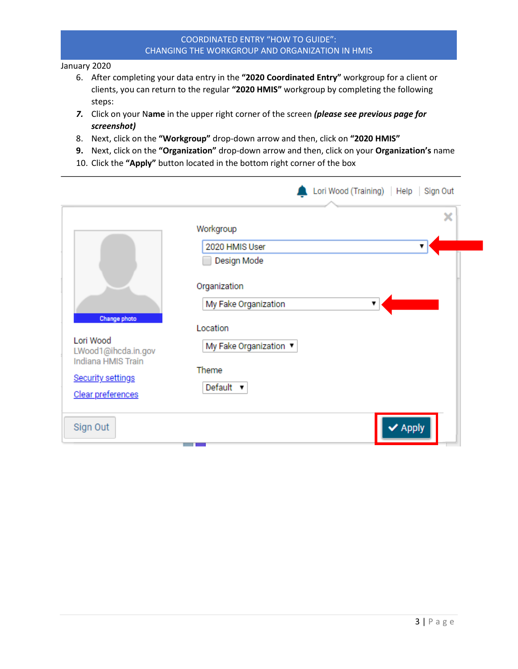January 2020

- 6. After completing your data entry in the **"2020 Coordinated Entry"** workgroup for a client or clients, you can return to the regular **"2020 HMIS"** workgroup by completing the following steps:
- *7.* Click on your N**ame** in the upper right corner of the screen *(please see previous page for screenshot)*
- 8. Next, click on the **"Workgroup"** drop-down arrow and then, click on **"2020 HMIS"**
- **9.** Next, click on the **"Organization"** drop-down arrow and then, click on your **Organization's** name
- 10. Click the **"Apply"** button located in the bottom right corner of the box

|                                                              | Lori Wood (Training)   Help   Sign Out    |
|--------------------------------------------------------------|-------------------------------------------|
|                                                              | ×<br>Workgroup                            |
|                                                              | 2020 HMIS User<br>▼<br>Design Mode        |
|                                                              | Organization<br>My Fake Organization<br>▼ |
| Change photo<br>Lori Wood<br>LWood1@ihcda.in.gov             | Location<br>My Fake Organization ▼        |
| Indiana HMIS Train<br>Security settings<br>Clear preferences | Theme<br>Default $\blacktriangledown$     |
| Sign Out                                                     | $\blacktriangleright$ Apply               |